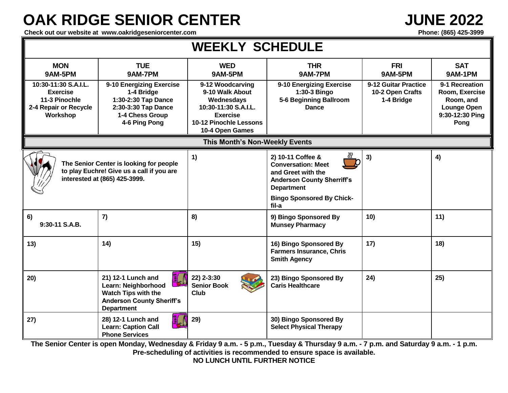## **OAK RIDGE SENIOR CENTER JUNE 2022**

Check out our website at www.oakridgeseniorcenter.com **Phone: (865) 425-3999** Phone: (865) 425-3999

| <b>WEEKLY SCHEDULE</b>                                                                                                |                                                                                                                           |                                                                                                                                           |                                                                                                                                                                             |                                                        |                                                                                         |
|-----------------------------------------------------------------------------------------------------------------------|---------------------------------------------------------------------------------------------------------------------------|-------------------------------------------------------------------------------------------------------------------------------------------|-----------------------------------------------------------------------------------------------------------------------------------------------------------------------------|--------------------------------------------------------|-----------------------------------------------------------------------------------------|
| <b>MON</b><br>9AM-5PM                                                                                                 | <b>TUE</b><br>9AM-7PM                                                                                                     | <b>WED</b><br>9AM-5PM                                                                                                                     | <b>THR</b><br>9AM-7PM                                                                                                                                                       | <b>FRI</b><br>9AM-5PM                                  | <b>SAT</b><br>9AM-1PM                                                                   |
| 10:30-11:30 S.A.I.L.<br><b>Exercise</b><br>11-3 Pinochle<br>2-4 Repair or Recycle<br>Workshop                         | 9-10 Energizing Exercise<br>1-4 Bridge<br>1:30-2:30 Tap Dance<br>2:30-3:30 Tap Dance<br>1-4 Chess Group<br>4-6 Ping Pong  | 9-12 Woodcarving<br>9-10 Walk About<br>Wednesdays<br>10:30-11:30 S.A.I.L.<br><b>Exercise</b><br>10-12 Pinochle Lessons<br>10-4 Open Games | 9-10 Energizing Exercise<br>1:30-3 Bingo<br>5-6 Beginning Ballroom<br><b>Dance</b>                                                                                          | 9-12 Guitar Practice<br>10-2 Open Crafts<br>1-4 Bridge | 9-1 Recreation<br>Room, Exercise<br>Room, and<br>Lounge Open<br>9:30-12:30 Ping<br>Pong |
| This Month's Non-Weekly Events                                                                                        |                                                                                                                           |                                                                                                                                           |                                                                                                                                                                             |                                                        |                                                                                         |
| The Senior Center is looking for people<br>to play Euchre! Give us a call if you are<br>interested at (865) 425-3999. |                                                                                                                           | 1)                                                                                                                                        | 2) 10-11 Coffee &<br><b>Conversation: Meet</b><br>and Greet with the<br><b>Anderson County Sherriff's</b><br><b>Department</b><br><b>Bingo Sponsored By Chick-</b><br>fil-a | 3)                                                     | 4)                                                                                      |
| 6)<br>9:30-11 S.A.B.                                                                                                  | 7)                                                                                                                        | 8)                                                                                                                                        | 9) Bingo Sponsored By<br><b>Munsey Pharmacy</b>                                                                                                                             | 10)                                                    | 11)                                                                                     |
| 13)                                                                                                                   | 14)                                                                                                                       | 15)                                                                                                                                       | 16) Bingo Sponsored By<br><b>Farmers Insurance, Chris</b><br><b>Smith Agency</b>                                                                                            | 17)                                                    | 18)                                                                                     |
| 20)                                                                                                                   | 21) 12-1 Lunch and<br>Learn: Neighborhood<br>Watch Tips with the<br><b>Anderson County Sheriff's</b><br><b>Department</b> | 22) 2-3:30<br><b>Senior Book</b><br><b>Club</b>                                                                                           | 23) Bingo Sponsored By<br><b>Caris Healthcare</b>                                                                                                                           | 24)                                                    | 25)                                                                                     |
| 27)                                                                                                                   | 28) 12-1 Lunch and<br><b>Learn: Caption Call</b><br><b>Phone Services</b>                                                 | 29)                                                                                                                                       | 30) Bingo Sponsored By<br><b>Select Physical Therapy</b>                                                                                                                    |                                                        |                                                                                         |

**The Senior Center is open Monday, Wednesday & Friday 9 a.m. - 5 p.m., Tuesday & Thursday 9 a.m. - 7 p.m. and Saturday 9 a.m. - 1 p.m. Pre-scheduling of activities is recommended to ensure space is available.**

**NO LUNCH UNTIL FURTHER NOTICE**